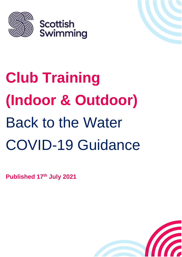

# **Club Training (Indoor & Outdoor)** Back to the Water COVID-19 Guidance

**Published 17th July 2021**

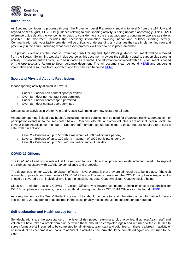

## **Introduction**

As Scotland continues to progress through the Protection Level Framework, moving to level 0 from the 19<sup>th</sup> July and beyond on 9<sup>th</sup> August, COVID-19 guidance relating to club sporting activity is being updated accordingly. This COVID reference guide details the key points for clubs to consider, to ensure the aquatic sports continue to operate as safe as possible. The document includes the necessary information covering indoor and outdoor sporting activity. Communication with your facility provider will be critical to understanding any changes they are implementing now and potentially in the future, including what processes/protocols will need to be in place/amended.

The previous versions of the Scottish Swimming Club Training and Open Water guidance documents will be removed from the Scottish Swimming website in due course as this document provides the sufficient detail to support club sporting activity. This document will continue to be updated as required. The information contained within this document is based on the **sport**scotland Return to Sport guidance document. The full document can be found [HERE](https://sportscotland.org.uk/media/6785/return-to-sport-guidance-1-july-2021.pdf) and supporting information and resources from **sport**scotland for clubs can be found [HERE](https://sportscotland.org.uk/covid-19/latest-sport-and-physical-activity-guidance/)

## **Sport and Physical Activity Restrictions**

Indoor sporting activity allowed in Level 0

- o Under 18 Indoor non-contact sport permitted
- o Over 18 Indoor non-contact sport permitted
- o Under 18 Indoor contact sport permitted
- o Over 18 Indoor contact sport permitted

Contact sport activities in Water Polo and Artistic Swimming can now restart for all ages.

An outdoor sporting 'field of play bubble', including multiple bubbles, can be used for organised training, competition, or participation events up to the limits noted below. Coaches, officials, and other volunteers are not included in Level 0 to Level 2 bubble/participation numbers. Support staff numbers should be limited to those that are required to ensure a safe, well run activity:

- $\circ$  Level 2 Bubbles of up to 50 with a maximum of 500 participants per day
- $\circ$  Level 1 Bubbles of up to 100 with a maximum of 1000 participants per day
- Level  $0$  Bubbles of up to 500 with no participant limit per day

## **COVID-19 Officers**

The COVID-19 Lead officer role will still be required to be in place at all protection levels including Level 0, to support the club as necessary with COVID-19 compliance and protocols.

The default position for COVID-19 Liaison officers in level 0 areas is that they are still required to be in place. If the club is unable to provide sufficient cover of COVID-19 Liaison Officers at sessions, the COVID compliance responsibility should be covered by an individual who is at the session, i.e. Lead Coach/Assistant Coach/poolside helper.

Clubs are reminded that any COVID-19 Liaison Officers who haven't completed training or anyone responsible for COVID compliance at sessions, the **sport**scotland training module for COVID-19 Officers can be found [HERE.](https://rise.articulate.com/share/gnk3qPoxD30r_1rmijUPJipuOksCwGs9#/)

As a requirement for the Test & Protect process, clubs should continue to retain the attendance information for every session for a 21-day period or as defined in the clubs' privacy notice, should the information be required.

#### **Self-declaration and Health survey forms**

Self-declarations are the acceptance of the level of risk posed returning to club activities. If athletes/team staff and volunteers have taken a break from club activities these should be completed again and returned to the club. Health survey forms are still required to be completed for all athletes, team staff and volunteers. If there is a break in activity or an individual has become ill or unable to attend club activities, the form should be completed again and returned to the club.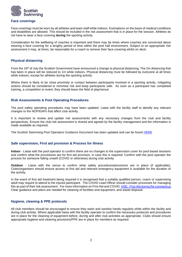

#### **Face coverings**

Face coverings must be worn by all athletes and team staff while indoors. Exemptions on the basis of medical conditions and disabilities are allowed. This should be included in the risk assessment that is in place for the session. Athletes do not have to wear a face covering **during** the sporting activity.

Consideration for the wellbeing of coaches is important and there may be times where coaches are concerned about wearing a face covering for a lengthy period of time within the pool hall environment. Subject to an appropriate risk assessment it may, at times, be reasonable for a coach to remove their face covering whilst on deck.

## **Physical distancing**

From the 19<sup>th</sup> of July the Scottish Government have announced a change to physical distancing. The 2m distancing that has been in place will be reduced to 1m while indoors. Physical distancing must be followed by everyone at all times while indoors, except for athletes during the sporting activity.

Where there is likely to be close proximity or contact between participants involved in a sporting activity, mitigating actions should be considered to minimise risk and keep participants safe. As soon as a participant has completed training, a competition or event, they should leave the field of play/venue

## **Risk Assessments & Pool Operating Procedures**

The pool safety operating procedures may have been updated. Liaise with the facility staff to identify any relevant changes to the NOP/EAPs that affect club activity.

It is important to review and update risk assessments with any necessary changes from the club and facility perspectives. Ensure the club risk assessment is shared and agreed by the facility management and the information is made available as required.

The Scottish Swimming Pool Operators Guidance Document has been updated and can be found [HERE](https://www.scottishswimming.com/media/3311401/scottish-swimming-pool-operators-covid-19-back-to-the-water-guidance-10-nov-2020.pdf)

## **Safe supervision, First aid provision & Process for illness**

**Indoor** - Liaise with the pool operator to confirm there are no changes to the supervision cover for pool based sessions and confirm what the procedures are for first aid provision, in case this is required. Confirm with the pool operator the process for someone falling unwell (COVID or otherwise) during club activity.

**Outdoor** - Liaise with the venue to confirm what safety procedures/provisions are in place (if applicable). Clubs/organisers should ensure access to first aid and relevant emergency equipment is available for the duration of the activity.

In the event of first aid treatment being required it is recognised that a suitably qualified person, coach or supervising adult may require to attend to the injured participant. The COVID Lead Officer should consider processes for managing this as part of their risk assessment. For more information on First Aid and COVID: [HSE: First Aid during the coronavirus](http://www.hse.gov.uk/coronavirus/first-aid-and-medicals/first-aid-certificate-coronavirus.htm) Clear guidance and plans are needed for cleaning of facilities and equipment, and waste disposal.

## **Hygiene, cleaning & PPE protocols**

All club members should be encouraged to ensure they wash and sanitise hands regularly while within the facility and during club activity. Where applicable liaise with the facility operator to confirm the necessary protocols and procedures are in place for the cleaning of equipment before, during and after club activities as appropriate. Clubs should ensure appropriate hygiene and cleaning provisions/PPE are in place for members as required.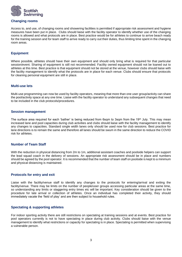

## **Changing rooms**

Access to, and use, of changing rooms and showering facilities is permitted if appropriate risk assessment and hygiene measures have been put in place. Clubs should liaise with the facility operator to identify whether use of the changing rooms is allowed and what protocols are in place. Best practice would be for athletes to continue to arrive beach ready for the training session and for team staff to arrive ready to carry out their duties, thus limiting time spent in the changing room areas.

## **Equipment**

Where possible, athletes should have their own equipment and should only bring what is required for that particular session/event. Sharing of equipment is still not recommended. Facility owned equipment should not be loaned out to athletes at this time. Best practice is that equipment should not be stored at the venue, however clubs should liaise with the facility management to identify what the protocols are in place for each venue. Clubs should ensure that protocols for cleaning personal equipment are still in place.

### **Multi-use lets**

Multi-use programming can now be used by facility operators, meaning that more than one user group/activity can share the pool/activity space at any one time. Liaise with the facility operator to understand any subsequent changes that need to be included in the club protocols/procedures.

#### **Session management**

The surface area required for each 'bather' is being reduced from 6sqm to 3sqm from the 19th July. This may mean increased lane and pool capacities during club activities and clubs should liaise with the facility management to identify any changes to capacities. Standard single width lanes only should be used now for club sessions. Best practice for lane directions is to remain the same and therefore all lanes should be swum in the same direction to reduce the COVID risk for athletes.

## **Number of Team Staff**

With the reduction in physical distancing from 2m to 1m, additional assistant coaches and poolside helpers can support the lead squad coach in the delivery of sessions. An appropriate risk assessment should be in place and numbers should be agreed by the pool operator. It is recommended that the number of team staff on poolside is kept to a minimum and physical distancing is maintained.

#### **Protocols for entry and exit**

Liaise with the facility/venue staff to identify any changes to the protocols for entering/arrival and exiting the facility/venue. There may be limits on the number of people/user groups accessing particular areas at the same time, so understanding any limits or staggering entry times etc will be important. Key consideration should be given to the procedure for late arrival or collection of athletes. Once an individual has completed their activity, they should immediately vacate the 'field of play' and are then subject to household rules.

## **Spectating & supporting athletes**

For indoor sporting activity there are still restrictions on spectating at training sessions and at events. Best practice for pool operators currently is not to have spectating in place during club activity. Clubs should liaise with the venue management to identify what restrictions or capacity for spectating is in place. Spectating is permitted when supervising a vulnerable person.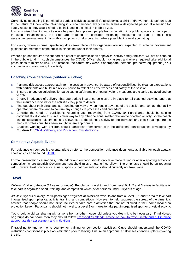

Currently no spectating is permitted at outdoor activities except if it's to supervise a child and/or vulnerable person. Due to the nature of Open Water Swimming it is recommended every swimmer has a designated person at a session for safety reasons, they would need to be included in the session bubble sizes.

It is recognised that it may not always be possible to prevent people from spectating in a public space such as a park. In such circumstances, the club are required to consider mitigating measures as part of their risk assessment/management plan with an emphasis on discouraging, where possible, informal spectating.

For clarity, where informal spectating does take place clubs/organisers are not expected to enforce government guidance on members of the public in places not under their control.

Where a person requires the support of a carer to undertake sport or physical activity safely, the carer will not be counted in the bubble total. In such circumstances the COVID Officer should risk assess and where required take additional precautions to minimise risk. For instance, the carers may wear, if appropriate, personal protective equipment (PPE) such as face masks during the activity.

# **Coaching Considerations (outdoor & indoor)**

- $\circ$  Plan and risk assess appropriately for the session in advance, be aware of responsibilities, be clear on expectations with participants and build in a review period to reflect on effectiveness and safety of the session
- $\circ$  Ensure signage on quidelines for participating safely and promoting hygiene measures are clearly displayed and up to date
- $\circ$  Check, in advance of delivery, that appropriate insurance policies are in place for all coached activities and that their insurance is valid for the activities they plan to deliver
- $\circ$  Find out about their direct and surrounding delivery environment in advance of the session and contact the facility operator, where relevant, to confirm any changes in processes and procedure
- o Consider the needs of participants returning after recovering from COVID-19. Participants should be able to confidentially disclose this, in a similar way to any other personal matter relevant to coached activity, so the coach can make suitable adjustments and allowances to the planned activity for the individual and check that input from a medical professional has been sought where appropriate
- $\circ$  Coaches working with children should familiarise themselves with the additional considerations developed by **Children 1st**: [Child Wellbeing and Protection Considerations.](http://www.sportscotland.org.uk/media/5774/cyp-return-to-sport-after-covid-19.pdf)

# **Competitive Aquatic Events**

For guidance on competitive events, please refer to the competition guidance documents available for each aquatic sport which can be found [HERE.](https://www.scottishswimming.com/clubs/covid-19-guidance.aspx)

Formal presentation ceremonies, both indoor and outdoor, should only take place during or after a sporting activity or competition where Scottish Government household rules on gatherings allow. The emphasis should be on reducing risk. However best practice for aquatic sports is that presentations should currently not take place.

## **Travel**

*Children & Young People* (17 years or under): People can travel to and from Level 0, 1, 2 and 3 areas to facilitate or take part in organised sport, training, and competition which is for persons under 18 years of age.

*Adults* (18 years or over): Participants aged *18 years or over* can travel to and from a Level 0, 1 and 2 area to take part in organised sport, physical activity, training, and competition. However, to help suppress the spread of the virus, it is advised that people should not utilise facilities or take part in activities that are not allowed in their home local area protection Level. Participants should not travel to a Level 3 or 4 area to take part in organised sport or physical activity.

You should avoid car sharing with anyone from another household unless you deem it to be necessary. If individuals or groups do car share then they should follow [Transport Scotland: advice on how to travel safely](http://www.transport.gov.scot/coronavirus-covid-19/transport-transition-plan/advice-on-how-to-travel-safely/#section-63888) and put in place appropriate risk assessment and mitigations.

If travelling to another home country for training or competition activities, Clubs should understand the COVID restrictions/conditions in place at destination prior to leaving. Ensure an appropriate risk assessment is in place covering the trip.